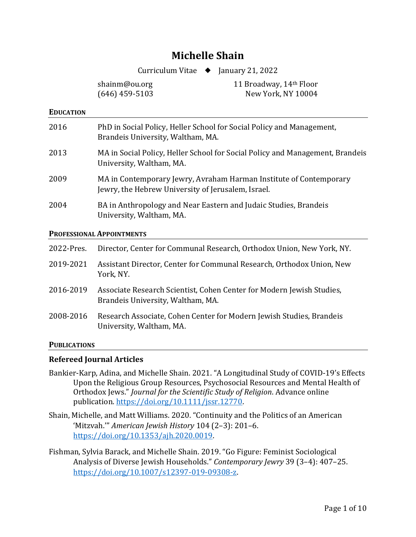# **Michelle Shain**

Curriculum Vitae ◆ January 21, 2022

shainm@ou.org 11 Broadway, 14<sup>th</sup> Floor (646) 459-5103 New York, NY 10004

### **EDUCATION**

| 2016                             | PhD in Social Policy, Heller School for Social Policy and Management,<br>Brandeis University, Waltham, MA.               |  |
|----------------------------------|--------------------------------------------------------------------------------------------------------------------------|--|
| 2013                             | MA in Social Policy, Heller School for Social Policy and Management, Brandeis<br>University, Waltham, MA.                |  |
| 2009                             | MA in Contemporary Jewry, Avraham Harman Institute of Contemporary<br>Jewry, the Hebrew University of Jerusalem, Israel. |  |
| 2004                             | BA in Anthropology and Near Eastern and Judaic Studies, Brandeis<br>University, Waltham, MA.                             |  |
| <b>PROFESSIONAL APPOINTMENTS</b> |                                                                                                                          |  |
| 2022-Pres.                       | Director, Center for Communal Research, Orthodox Union, New York, NY.                                                    |  |
| 2019-2021                        | Assistant Director, Center for Communal Research, Orthodox Union, New<br>York, NY.                                       |  |
| 2016-2019                        | Associate Research Scientist, Cohen Center for Modern Jewish Studies,<br>Brandeis University, Waltham, MA.               |  |
| 2008-2016                        | Research Associate, Cohen Center for Modern Jewish Studies, Brandeis<br>University, Waltham, MA.                         |  |

### **PUBLICATIONS**

# **Refereed Journal Articles**

- Bankier-Karp, Adina, and Michelle Shain. 2021. "A Longitudinal Study of COVID-19's Effects Upon the Religious Group Resources, Psychosocial Resources and Mental Health of Orthodox Jews." *Journal for the Scientific Study of Religion*. Advance online publication. [https://doi.org/10.1111/jssr.12770.](https://doi.org/10.1111/jssr.12770)
- Shain, Michelle, and Matt Williams. 2020. "Continuity and the Politics of an American 'Mitzvah.'" *American Jewish History* 104 (2–3): 201–6. [https://doi.org/10.1353/ajh.2020.0019.](https://doi.org/10.1353/ajh.2020.0019)
- Fishman, Sylvia Barack, and Michelle Shain. 2019. "Go Figure: Feminist Sociological Analysis of Diverse Jewish Households." *Contemporary Jewry* 39 (3–4): 407–25. [https://doi.org/10.1007/s12397-019-09308-z.](https://doi.org/10.1007/s12397-019-09308-z)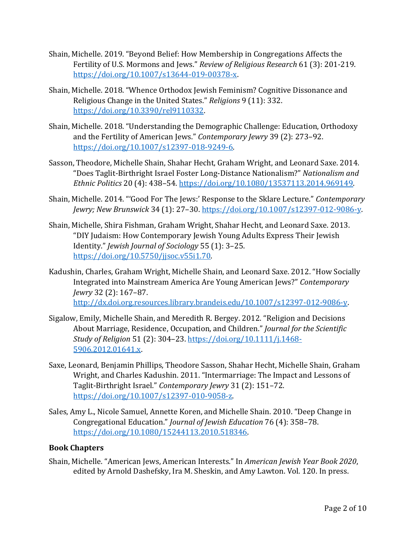- Shain, Michelle. 2019. "Beyond Belief: How Membership in Congregations Affects the Fertility of U.S. Mormons and Jews." *Review of Religious Research* 61 (3): 201-219. [https://doi.org/10.1007/s13644-019-00378-x.](https://doi.org/10.1007/s13644-019-00378-x)
- Shain, Michelle. 2018. "Whence Orthodox Jewish Feminism? Cognitive Dissonance and Religious Change in the United States." *Religions* 9 (11): 332. [https://doi.org/10.3390/rel9110332.](https://doi.org/10.3390/rel9110332)
- Shain, Michelle. 2018. "Understanding the Demographic Challenge: Education, Orthodoxy and the Fertility of American Jews." *Contemporary Jewry* 39 (2): 273–92. [https://doi.org/10.1007/s12397-018-9249-6.](https://doi.org/10.1007/s12397-018-9249-6)
- Sasson, Theodore, Michelle Shain, Shahar Hecht, Graham Wright, and Leonard Saxe. 2014. "Does Taglit-Birthright Israel Foster Long-Distance Nationalism?" *Nationalism and Ethnic Politics* 20 (4): 438–54[. https://doi.org/10.1080/13537113.2014.969149.](https://doi.org/10.1080/13537113.2014.969149)
- Shain, Michelle. 2014. "'Good For The Jews:' Response to the Sklare Lecture." *Contemporary Jewry; New Brunswick* 34 (1): 27–30. [https://doi.org/10.1007/s12397-012-9086-y.](https://doi.org/10.1007/s12397-012-9086-y)
- Shain, Michelle, Shira Fishman, Graham Wright, Shahar Hecht, and Leonard Saxe. 2013. "DIY Judaism: How Contemporary Jewish Young Adults Express Their Jewish Identity." *Jewish Journal of Sociology* 55 (1): 3–25. [https://doi.org/10.5750/jjsoc.v55i1.70.](https://doi.org/10.5750/jjsoc.v55i1.70)
- Kadushin, Charles, Graham Wright, Michelle Shain, and Leonard Saxe. 2012. "How Socially Integrated into Mainstream America Are Young American Jews?" *Contemporary Jewry* 32 (2): 167–87. [http://dx.doi.org.resources.library.brandeis.edu/10.1007/s12397-012-9086-y.](http://dx.doi.org.resources.library.brandeis.edu/10.1007/s12397-012-9086-y)
- Sigalow, Emily, Michelle Shain, and Meredith R. Bergey. 2012. "Religion and Decisions About Marriage, Residence, Occupation, and Children." *Journal for the Scientific Study of Religion* 51 (2): 304–23. [https://doi.org/10.1111/j.1468-](https://doi.org/10.1111/j.1468-5906.2012.01641.x) [5906.2012.01641.x.](https://doi.org/10.1111/j.1468-5906.2012.01641.x)
- Saxe, Leonard, Benjamin Phillips, Theodore Sasson, Shahar Hecht, Michelle Shain, Graham Wright, and Charles Kadushin. 2011. "Intermarriage: The Impact and Lessons of Taglit-Birthright Israel." *Contemporary Jewry* 31 (2): 151–72. [https://doi.org/10.1007/s12397-010-9058-z.](https://doi.org/10.1007/s12397-010-9058-z)
- Sales, Amy L., Nicole Samuel, Annette Koren, and Michelle Shain. 2010. "Deep Change in Congregational Education." *Journal of Jewish Education* 76 (4): 358–78. [https://doi.org/10.1080/15244113.2010.518346.](https://doi.org/10.1080/15244113.2010.518346)

# **Book Chapters**

Shain, Michelle. "American Jews, American Interests." In *American Jewish Year Book 2020*, edited by Arnold Dashefsky, Ira M. Sheskin, and Amy Lawton. Vol. 120. In press.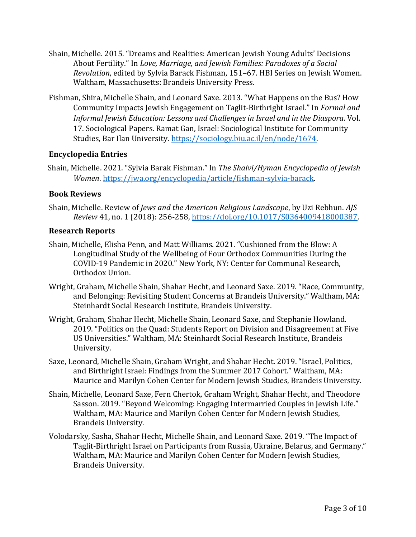- Shain, Michelle. 2015. "Dreams and Realities: American Jewish Young Adults' Decisions About Fertility." In *Love, Marriage, and Jewish Families: Paradoxes of a Social Revolution*, edited by Sylvia Barack Fishman, 151–67. HBI Series on Jewish Women. Waltham, Massachusetts: Brandeis University Press.
- Fishman, Shira, Michelle Shain, and Leonard Saxe. 2013. "What Happens on the Bus? How Community Impacts Jewish Engagement on Taglit-Birthright Israel." In *Formal and Informal Jewish Education: Lessons and Challenges in Israel and in the Diaspora*. Vol. 17. Sociological Papers. Ramat Gan, Israel: Sociological Institute for Community Studies, Bar Ilan University. [https://sociology.biu.ac.il/en/node/1674.](https://sociology.biu.ac.il/en/node/1674)

# **Encyclopedia Entries**

Shain, Michelle. 2021. "Sylvia Barak Fishman." In *The Shalvi/Hyman Encyclopedia of Jewish Women*. [https://jwa.org/encyclopedia/article/fishman-sylvia-barack.](https://jwa.org/encyclopedia/article/fishman-sylvia-barack)

# **Book Reviews**

Shain, Michelle. Review of *Jews and the American Religious Landscape*, by Uzi Rebhun. *AJS Review* 41, no. 1 (2018): 256-258, [https://doi.org/10.1017/S0364009418000387.](https://doi.org/10.1017/S0364009418000387)

# **Research Reports**

- Shain, Michelle, Elisha Penn, and Matt Williams. 2021. "Cushioned from the Blow: A Longitudinal Study of the Wellbeing of Four Orthodox Communities During the COVID-19 Pandemic in 2020." New York, NY: Center for Communal Research, Orthodox Union.
- Wright, Graham, Michelle Shain, Shahar Hecht, and Leonard Saxe. 2019. "Race, Community, and Belonging: Revisiting Student Concerns at Brandeis University." Waltham, MA: Steinhardt Social Research Institute, Brandeis University.
- Wright, Graham, Shahar Hecht, Michelle Shain, Leonard Saxe, and Stephanie Howland. 2019. "Politics on the Quad: Students Report on Division and Disagreement at Five US Universities." Waltham, MA: Steinhardt Social Research Institute, Brandeis University.
- Saxe, Leonard, Michelle Shain, Graham Wright, and Shahar Hecht. 2019. "Israel, Politics, and Birthright Israel: Findings from the Summer 2017 Cohort." Waltham, MA: Maurice and Marilyn Cohen Center for Modern Jewish Studies, Brandeis University.
- Shain, Michelle, Leonard Saxe, Fern Chertok, Graham Wright, Shahar Hecht, and Theodore Sasson. 2019. "Beyond Welcoming: Engaging Intermarried Couples in Jewish Life." Waltham, MA: Maurice and Marilyn Cohen Center for Modern Jewish Studies, Brandeis University.
- Volodarsky, Sasha, Shahar Hecht, Michelle Shain, and Leonard Saxe. 2019. "The Impact of Taglit-Birthright Israel on Participants from Russia, Ukraine, Belarus, and Germany." Waltham, MA: Maurice and Marilyn Cohen Center for Modern Jewish Studies, Brandeis University.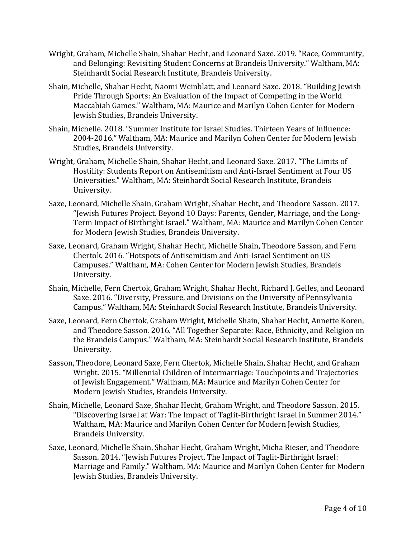- Wright, Graham, Michelle Shain, Shahar Hecht, and Leonard Saxe. 2019. "Race, Community, and Belonging: Revisiting Student Concerns at Brandeis University." Waltham, MA: Steinhardt Social Research Institute, Brandeis University.
- Shain, Michelle, Shahar Hecht, Naomi Weinblatt, and Leonard Saxe. 2018. "Building Jewish Pride Through Sports: An Evaluation of the Impact of Competing in the World Maccabiah Games." Waltham, MA: Maurice and Marilyn Cohen Center for Modern Jewish Studies, Brandeis University.
- Shain, Michelle. 2018. "Summer Institute for Israel Studies. Thirteen Years of Influence: 2004-2016." Waltham, MA: Maurice and Marilyn Cohen Center for Modern Jewish Studies, Brandeis University.
- Wright, Graham, Michelle Shain, Shahar Hecht, and Leonard Saxe. 2017. "The Limits of Hostility: Students Report on Antisemitism and Anti-Israel Sentiment at Four US Universities." Waltham, MA: Steinhardt Social Research Institute, Brandeis University.
- Saxe, Leonard, Michelle Shain, Graham Wright, Shahar Hecht, and Theodore Sasson. 2017. "Jewish Futures Project. Beyond 10 Days: Parents, Gender, Marriage, and the Long-Term Impact of Birthright Israel." Waltham, MA: Maurice and Marilyn Cohen Center for Modern Jewish Studies, Brandeis University.
- Saxe, Leonard, Graham Wright, Shahar Hecht, Michelle Shain, Theodore Sasson, and Fern Chertok. 2016. "Hotspots of Antisemitism and Anti-Israel Sentiment on US Campuses." Waltham, MA: Cohen Center for Modern Jewish Studies, Brandeis University.
- Shain, Michelle, Fern Chertok, Graham Wright, Shahar Hecht, Richard J. Gelles, and Leonard Saxe. 2016. "Diversity, Pressure, and Divisions on the University of Pennsylvania Campus." Waltham, MA: Steinhardt Social Research Institute, Brandeis University.
- Saxe, Leonard, Fern Chertok, Graham Wright, Michelle Shain, Shahar Hecht, Annette Koren, and Theodore Sasson. 2016. "All Together Separate: Race, Ethnicity, and Religion on the Brandeis Campus." Waltham, MA: Steinhardt Social Research Institute, Brandeis University.
- Sasson, Theodore, Leonard Saxe, Fern Chertok, Michelle Shain, Shahar Hecht, and Graham Wright. 2015. "Millennial Children of Intermarriage: Touchpoints and Trajectories of Jewish Engagement." Waltham, MA: Maurice and Marilyn Cohen Center for Modern Jewish Studies, Brandeis University.
- Shain, Michelle, Leonard Saxe, Shahar Hecht, Graham Wright, and Theodore Sasson. 2015. "Discovering Israel at War: The Impact of Taglit-Birthright Israel in Summer 2014." Waltham, MA: Maurice and Marilyn Cohen Center for Modern Jewish Studies, Brandeis University.
- Saxe, Leonard, Michelle Shain, Shahar Hecht, Graham Wright, Micha Rieser, and Theodore Sasson. 2014. "Jewish Futures Project. The Impact of Taglit-Birthright Israel: Marriage and Family." Waltham, MA: Maurice and Marilyn Cohen Center for Modern Jewish Studies, Brandeis University.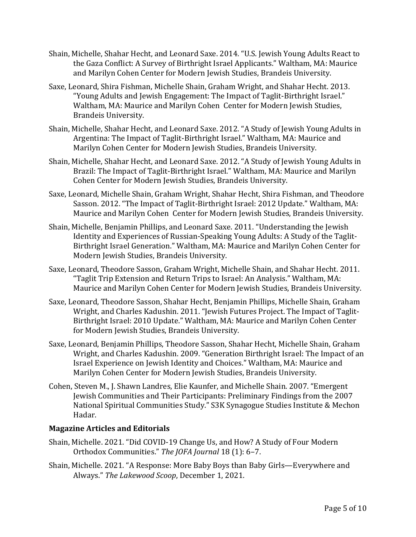- Shain, Michelle, Shahar Hecht, and Leonard Saxe. 2014. "U.S. Jewish Young Adults React to the Gaza Conflict: A Survey of Birthright Israel Applicants." Waltham, MA: Maurice and Marilyn Cohen Center for Modern Jewish Studies, Brandeis University.
- Saxe, Leonard, Shira Fishman, Michelle Shain, Graham Wright, and Shahar Hecht. 2013. "Young Adults and Jewish Engagement: The Impact of Taglit-Birthright Israel." Waltham, MA: Maurice and Marilyn Cohen Center for Modern Jewish Studies, Brandeis University.
- Shain, Michelle, Shahar Hecht, and Leonard Saxe. 2012. "A Study of Jewish Young Adults in Argentina: The Impact of Taglit-Birthright Israel." Waltham, MA: Maurice and Marilyn Cohen Center for Modern Jewish Studies, Brandeis University.
- Shain, Michelle, Shahar Hecht, and Leonard Saxe. 2012. "A Study of Jewish Young Adults in Brazil: The Impact of Taglit-Birthright Israel." Waltham, MA: Maurice and Marilyn Cohen Center for Modern Jewish Studies, Brandeis University.
- Saxe, Leonard, Michelle Shain, Graham Wright, Shahar Hecht, Shira Fishman, and Theodore Sasson. 2012. "The Impact of Taglit-Birthright Israel: 2012 Update." Waltham, MA: Maurice and Marilyn Cohen Center for Modern Jewish Studies, Brandeis University.
- Shain, Michelle, Benjamin Phillips, and Leonard Saxe. 2011. "Understanding the Jewish Identity and Experiences of Russian-Speaking Young Adults: A Study of the Taglit-Birthright Israel Generation." Waltham, MA: Maurice and Marilyn Cohen Center for Modern Jewish Studies, Brandeis University.
- Saxe, Leonard, Theodore Sasson, Graham Wright, Michelle Shain, and Shahar Hecht. 2011. "Taglit Trip Extension and Return Trips to Israel: An Analysis." Waltham, MA: Maurice and Marilyn Cohen Center for Modern Jewish Studies, Brandeis University.
- Saxe, Leonard, Theodore Sasson, Shahar Hecht, Benjamin Phillips, Michelle Shain, Graham Wright, and Charles Kadushin. 2011. "Jewish Futures Project. The Impact of Taglit-Birthright Israel: 2010 Update." Waltham, MA: Maurice and Marilyn Cohen Center for Modern Jewish Studies, Brandeis University.
- Saxe, Leonard, Benjamin Phillips, Theodore Sasson, Shahar Hecht, Michelle Shain, Graham Wright, and Charles Kadushin. 2009. "Generation Birthright Israel: The Impact of an Israel Experience on Jewish Identity and Choices." Waltham, MA: Maurice and Marilyn Cohen Center for Modern Jewish Studies, Brandeis University.
- Cohen, Steven M., J. Shawn Landres, Elie Kaunfer, and Michelle Shain. 2007. "Emergent Jewish Communities and Their Participants: Preliminary Findings from the 2007 National Spiritual Communities Study." S3K Synagogue Studies Institute & Mechon Hadar.

# **Magazine Articles and Editorials**

- Shain, Michelle. 2021. "Did COVID-19 Change Us, and How? A Study of Four Modern Orthodox Communities." *The JOFA Journal* 18 (1): 6–7.
- Shain, Michelle. 2021. "A Response: More Baby Boys than Baby Girls—Everywhere and Always." *The Lakewood Scoop*, December 1, 2021.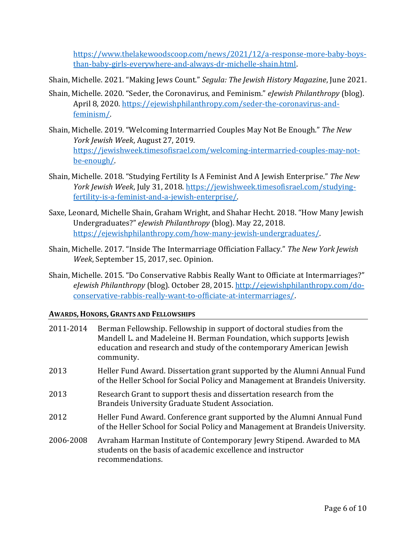[https://www.thelakewoodscoop.com/news/2021/12/a-response-more-baby-boys](https://www.thelakewoodscoop.com/news/2021/12/a-response-more-baby-boys-than-baby-girls-everywhere-and-always-dr-michelle-shain.html)[than-baby-girls-everywhere-and-always-dr-michelle-shain.html.](https://www.thelakewoodscoop.com/news/2021/12/a-response-more-baby-boys-than-baby-girls-everywhere-and-always-dr-michelle-shain.html)

Shain, Michelle. 2021. "Making Jews Count." *Segula: The Jewish History Magazine*, June 2021.

- Shain, Michelle. 2020. "Seder, the Coronavirus, and Feminism." *eJewish Philanthropy* (blog). April 8, 2020. [https://ejewishphilanthropy.com/seder-the-coronavirus-and](https://ejewishphilanthropy.com/seder-the-coronavirus-and-feminism/)[feminism/.](https://ejewishphilanthropy.com/seder-the-coronavirus-and-feminism/)
- Shain, Michelle. 2019. "Welcoming Intermarried Couples May Not Be Enough." *The New York Jewish Week*, August 27, 2019. [https://jewishweek.timesofisrael.com/welcoming-intermarried-couples-may-not](https://jewishweek.timesofisrael.com/welcoming-intermarried-couples-may-not-be-enough/)[be-enough/.](https://jewishweek.timesofisrael.com/welcoming-intermarried-couples-may-not-be-enough/)
- Shain, Michelle. 2018. "Studying Fertility Is A Feminist And A Jewish Enterprise." *The New York Jewish Week*, July 31, 2018. [https://jewishweek.timesofisrael.com/studying](https://jewishweek.timesofisrael.com/studying-fertility-is-a-feminist-and-a-jewish-enterprise/)[fertility-is-a-feminist-and-a-jewish-enterprise/.](https://jewishweek.timesofisrael.com/studying-fertility-is-a-feminist-and-a-jewish-enterprise/)
- Saxe, Leonard, Michelle Shain, Graham Wright, and Shahar Hecht. 2018. "How Many Jewish Undergraduates?" *eJewish Philanthropy* (blog). May 22, 2018. [https://ejewishphilanthropy.com/how-many-jewish-undergraduates/.](https://ejewishphilanthropy.com/how-many-jewish-undergraduates/)
- Shain, Michelle. 2017. "Inside The Intermarriage Officiation Fallacy." *The New York Jewish Week*, September 15, 2017, sec. Opinion.
- Shain, Michelle. 2015. "Do Conservative Rabbis Really Want to Officiate at Intermarriages?" *eJewish Philanthropy* (blog). October 28, 2015. [http://ejewishphilanthropy.com/do](http://ejewishphilanthropy.com/do-conservative-rabbis-really-want-to-officiate-at-intermarriages/)[conservative-rabbis-really-want-to-officiate-at-intermarriages/.](http://ejewishphilanthropy.com/do-conservative-rabbis-really-want-to-officiate-at-intermarriages/)

# **AWARDS, HONORS, GRANTS AND FELLOWSHIPS**

| 2011-2014 | Berman Fellowship. Fellowship in support of doctoral studies from the<br>Mandell L. and Madeleine H. Berman Foundation, which supports Jewish<br>education and research and study of the contemporary American Jewish<br>community. |
|-----------|-------------------------------------------------------------------------------------------------------------------------------------------------------------------------------------------------------------------------------------|
| 2013      | Heller Fund Award. Dissertation grant supported by the Alumni Annual Fund<br>of the Heller School for Social Policy and Management at Brandeis University.                                                                          |
| 2013      | Research Grant to support thesis and dissertation research from the<br>Brandeis University Graduate Student Association.                                                                                                            |
| 2012      | Heller Fund Award. Conference grant supported by the Alumni Annual Fund<br>of the Heller School for Social Policy and Management at Brandeis University.                                                                            |
| 2006-2008 | Avraham Harman Institute of Contemporary Jewry Stipend. Awarded to MA<br>students on the basis of academic excellence and instructor<br>recommendations.                                                                            |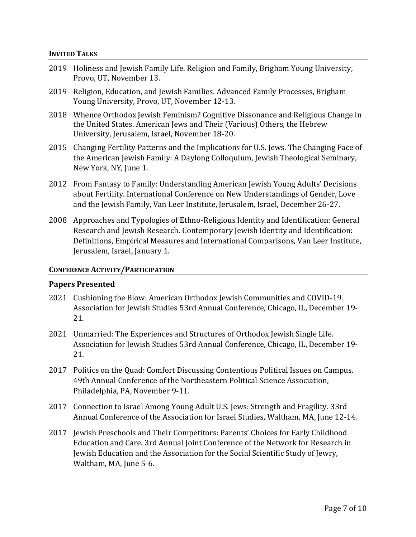#### **INVITED TALKS**

- 2019 Holiness and Jewish Family Life. Religion and Family, Brigham Young University, Provo, UT, November 13.
- 2019 Religion, Education, and Jewish Families. Advanced Family Processes, Brigham Young University, Provo, UT, November 12-13.
- 2018 Whence Orthodox Jewish Feminism? Cognitive Dissonance and Religious Change in the United States. American Jews and Their (Various) Others, the Hebrew University, Jerusalem, Israel, November 18-20.
- 2015 Changing Fertility Patterns and the Implications for U.S. Jews. The Changing Face of the American Jewish Family: A Daylong Colloquium, Jewish Theological Seminary, New York, NY, June 1.
- 2012 From Fantasy to Family: Understanding American Jewish Young Adults' Decisions about Fertility. International Conference on New Understandings of Gender, Love and the Jewish Family, Van Leer Institute, Jerusalem, Israel, December 26-27.
- 2008 Approaches and Typologies of Ethno-Religious Identity and Identification: General Research and Jewish Research. Contemporary Jewish Identity and Identification: Definitions, Empirical Measures and International Comparisons, Van Leer Institute, Jerusalem, Israel, January 1.

### **CONFERENCE ACTIVITY/PARTICIPATION**

### **Papers Presented**

- 2021 Cushioning the Blow: American Orthodox Jewish Communities and COVID-19. Association for Jewish Studies 53rd Annual Conference, Chicago, IL, December 19- 21.
- 2021 Unmarried: The Experiences and Structures of Orthodox Jewish Single Life. Association for Jewish Studies 53rd Annual Conference, Chicago, IL, December 19- 21.
- 2017 Politics on the Quad: Comfort Discussing Contentious Political Issues on Campus. 49th Annual Conference of the Northeastern Political Science Association, Philadelphia, PA, November 9-11.
- 2017 Connection to Israel Among Young Adult U.S. Jews: Strength and Fragility. 33rd Annual Conference of the Association for Israel Studies, Waltham, MA, June 12-14.
- 2017 Jewish Preschools and Their Competitors: Parents' Choices for Early Childhood Education and Care. 3rd Annual Joint Conference of the Network for Research in Jewish Education and the Association for the Social Scientific Study of Jewry, Waltham, MA, June 5-6.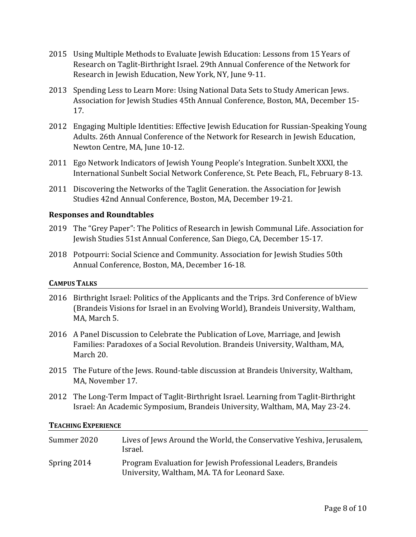- 2015 Using Multiple Methods to Evaluate Jewish Education: Lessons from 15 Years of Research on Taglit-Birthright Israel. 29th Annual Conference of the Network for Research in Jewish Education, New York, NY, June 9-11.
- 2013 Spending Less to Learn More: Using National Data Sets to Study American Jews. Association for Jewish Studies 45th Annual Conference, Boston, MA, December 15- 17.
- 2012 Engaging Multiple Identities: Effective Jewish Education for Russian-Speaking Young Adults. 26th Annual Conference of the Network for Research in Jewish Education, Newton Centre, MA, June 10-12.
- 2011 Ego Network Indicators of Jewish Young People's Integration. Sunbelt XXXI, the International Sunbelt Social Network Conference, St. Pete Beach, FL, February 8-13.
- 2011 Discovering the Networks of the Taglit Generation. the Association for Jewish Studies 42nd Annual Conference, Boston, MA, December 19-21.

# **Responses and Roundtables**

- 2019 The "Grey Paper": The Politics of Research in Jewish Communal Life. Association for Jewish Studies 51st Annual Conference, San Diego, CA, December 15-17.
- 2018 Potpourri: Social Science and Community. Association for Jewish Studies 50th Annual Conference, Boston, MA, December 16-18.

### **CAMPUS TALKS**

- 2016 Birthright Israel: Politics of the Applicants and the Trips. 3rd Conference of bView (Brandeis Visions for Israel in an Evolving World), Brandeis University, Waltham, MA, March 5.
- 2016 A Panel Discussion to Celebrate the Publication of Love, Marriage, and Jewish Families: Paradoxes of a Social Revolution. Brandeis University, Waltham, MA, March 20.
- 2015 The Future of the Jews. Round-table discussion at Brandeis University, Waltham, MA, November 17.
- 2012 The Long-Term Impact of Taglit-Birthright Israel. Learning from Taglit-Birthright Israel: An Academic Symposium, Brandeis University, Waltham, MA, May 23-24.

### **TEACHING EXPERIENCE**

| Summer 2020 | Lives of Jews Around the World, the Conservative Yeshiva, Jerusalem,<br>Israel.                               |
|-------------|---------------------------------------------------------------------------------------------------------------|
| Spring 2014 | Program Evaluation for Jewish Professional Leaders, Brandeis<br>University, Waltham, MA. TA for Leonard Saxe. |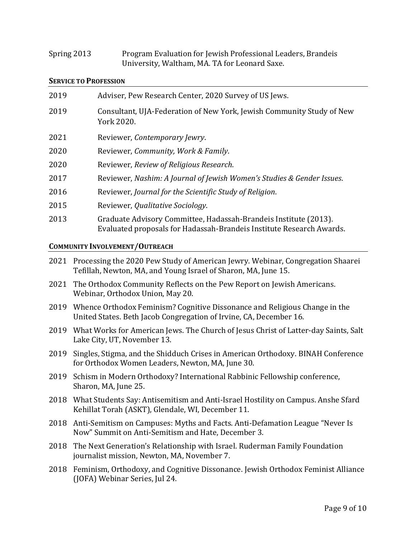| Spring 2013 | Program Evaluation for Jewish Professional Leaders, Brandeis |
|-------------|--------------------------------------------------------------|
|             | University, Waltham, MA. TA for Leonard Saxe.                |

#### **SERVICE TO PROFESSION**

| 2019 | Adviser, Pew Research Center, 2020 Survey of US Jews.                                                                                    |
|------|------------------------------------------------------------------------------------------------------------------------------------------|
| 2019 | Consultant, UJA-Federation of New York, Jewish Community Study of New<br>York 2020.                                                      |
| 2021 | Reviewer, Contemporary Jewry.                                                                                                            |
| 2020 | Reviewer, Community, Work & Family.                                                                                                      |
| 2020 | Reviewer, Review of Religious Research.                                                                                                  |
| 2017 | Reviewer, Nashim: A Journal of Jewish Women's Studies & Gender Issues.                                                                   |
| 2016 | Reviewer, Journal for the Scientific Study of Religion.                                                                                  |
| 2015 | Reviewer, Qualitative Sociology.                                                                                                         |
| 2013 | Graduate Advisory Committee, Hadassah-Brandeis Institute (2013).<br>Evaluated proposals for Hadassah-Brandeis Institute Research Awards. |

#### **COMMUNITY INVOLVEMENT/OUTREACH**

| 2021 Processing the 2020 Pew Study of American Jewry. Webinar, Congregation Shaarei |
|-------------------------------------------------------------------------------------|
| Tefillah, Newton, MA, and Young Israel of Sharon, MA, June 15.                      |

- 2021 The Orthodox Community Reflects on the Pew Report on Jewish Americans. Webinar, Orthodox Union, May 20.
- 2019 Whence Orthodox Feminism? Cognitive Dissonance and Religious Change in the United States. Beth Jacob Congregation of Irvine, CA, December 16.
- 2019 What Works for American Jews. The Church of Jesus Christ of Latter-day Saints, Salt Lake City, UT, November 13.
- 2019 Singles, Stigma, and the Shidduch Crises in American Orthodoxy. BINAH Conference for Orthodox Women Leaders, Newton, MA, June 30.
- 2019 Schism in Modern Orthodoxy? International Rabbinic Fellowship conference, Sharon, MA, June 25.
- 2018 What Students Say: Antisemitism and Anti-Israel Hostility on Campus. Anshe Sfard Kehillat Torah (ASKT), Glendale, WI, December 11.
- 2018 Anti-Semitism on Campuses: Myths and Facts. Anti-Defamation League "Never Is Now" Summit on Anti-Semitism and Hate, December 3.
- 2018 The Next Generation's Relationship with Israel. Ruderman Family Foundation journalist mission, Newton, MA, November 7.
- 2018 Feminism, Orthodoxy, and Cognitive Dissonance. Jewish Orthodox Feminist Alliance (JOFA) Webinar Series, Jul 24.